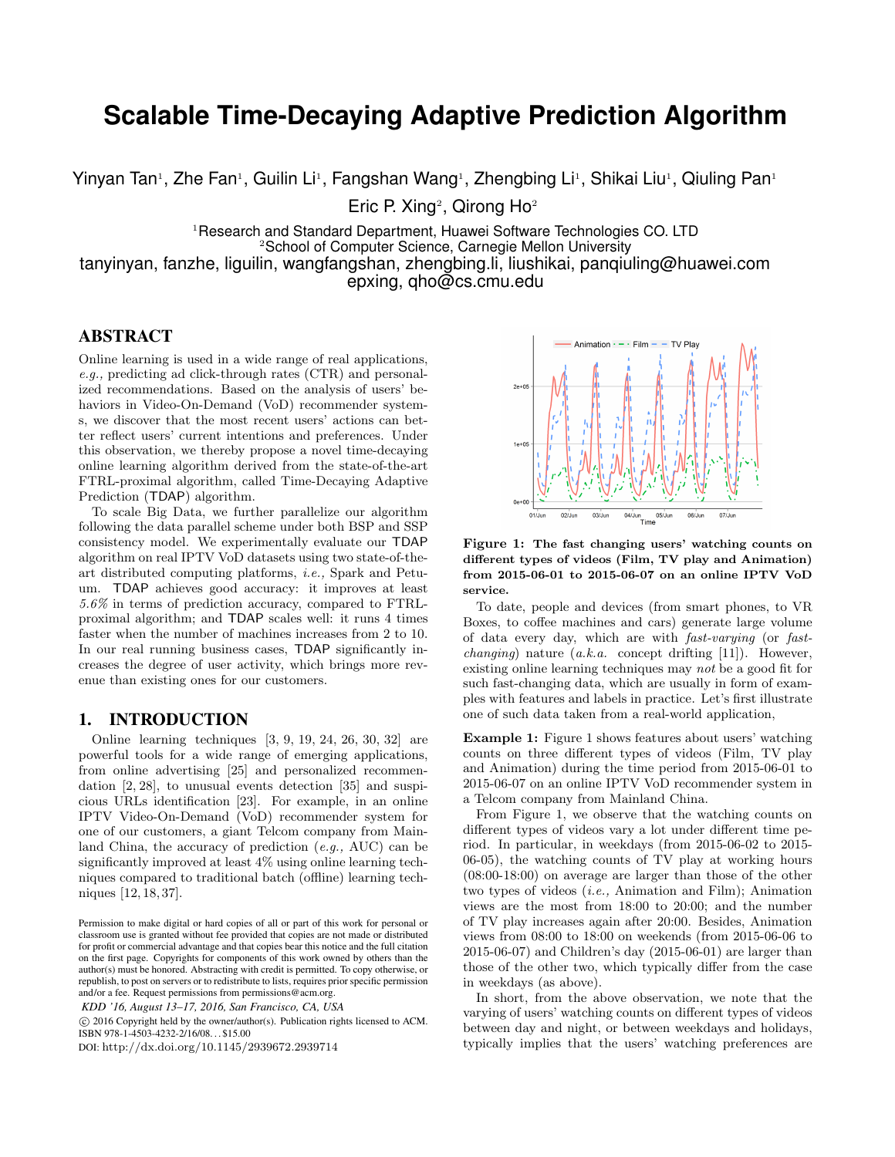# **Scalable Time-Decaying Adaptive Prediction Algorithm**

Yinyan Tan<sup>1</sup>, Zhe Fan<sup>1</sup>, Guilin Li<sup>1</sup>, Fangshan Wang<sup>1</sup>, Zhengbing Li<sup>1</sup>, Shikai Liu<sup>1</sup>, Qiuling Pan<sup>1</sup>

Eric P. Xing<sup>2</sup>, Qirong Ho<sup>2</sup>

<sup>1</sup>Research and Standard Department, Huawei Software Technologies CO. LTD <sup>2</sup>School of Computer Science, Carnegie Mellon University tanyinyan, fanzhe, liguilin, wangfangshan, zhengbing.li, liushikai, panqiuling@huawei.com

epxing, qho@cs.cmu.edu

# ABSTRACT

Online learning is used in a wide range of real applications, e.g., predicting ad click-through rates (CTR) and personalized recommendations. Based on the analysis of users' behaviors in Video-On-Demand (VoD) recommender systems, we discover that the most recent users' actions can better reflect users' current intentions and preferences. Under this observation, we thereby propose a novel time-decaying online learning algorithm derived from the state-of-the-art FTRL-proximal algorithm, called Time-Decaying Adaptive Prediction (TDAP) algorithm.

To scale Big Data, we further parallelize our algorithm following the data parallel scheme under both BSP and SSP consistency model. We experimentally evaluate our TDAP algorithm on real IPTV VoD datasets using two state-of-theart distributed computing platforms, i.e., Spark and Petuum. TDAP achieves good accuracy: it improves at least 5.6% in terms of prediction accuracy, compared to FTRLproximal algorithm; and TDAP scales well: it runs 4 times faster when the number of machines increases from 2 to 10. In our real running business cases, TDAP significantly increases the degree of user activity, which brings more revenue than existing ones for our customers.

#### 1. INTRODUCTION

Online learning techniques [3, 9, 19, 24, 26, 30, 32] are powerful tools for a wide range of emerging applications, from online advertising [25] and personalized recommendation [2, 28], to unusual events detection [35] and suspicious URLs identification [23]. For example, in an online IPTV Video-On-Demand (VoD) recommender system for one of our customers, a giant Telcom company from Mainland China, the accuracy of prediction (e.g., AUC) can be significantly improved at least 4% using online learning techniques compared to traditional batch (offline) learning techniques [12, 18, 37].

*KDD '16, August 13–17, 2016, San Francisco, CA, USA*

 c 2016 Copyright held by the owner/author(s). Publication rights licensed to ACM. ISBN 978-1-4503-4232-2/16/08. . . \$15.00

DOI: http://dx.doi.org/10.1145/2939672.2939714



Figure 1: The fast changing users' watching counts on different types of videos (Film, TV play and Animation) from 2015-06-01 to 2015-06-07 on an online IPTV VoD service.

To date, people and devices (from smart phones, to VR Boxes, to coffee machines and cars) generate large volume of data every day, which are with fast-varying (or fast*changing*) nature  $(a.k.a.$  concept drifting [11]). However, existing online learning techniques may not be a good fit for such fast-changing data, which are usually in form of examples with features and labels in practice. Let's first illustrate one of such data taken from a real-world application,

Example 1: Figure 1 shows features about users' watching counts on three different types of videos (Film, TV play and Animation) during the time period from 2015-06-01 to 2015-06-07 on an online IPTV VoD recommender system in a Telcom company from Mainland China.

From Figure 1, we observe that the watching counts on different types of videos vary a lot under different time period. In particular, in weekdays (from 2015-06-02 to 2015- 06-05), the watching counts of TV play at working hours (08:00-18:00) on average are larger than those of the other two types of videos (i.e., Animation and Film); Animation views are the most from 18:00 to 20:00; and the number of TV play increases again after 20:00. Besides, Animation views from 08:00 to 18:00 on weekends (from 2015-06-06 to 2015-06-07) and Children's day (2015-06-01) are larger than those of the other two, which typically differ from the case in weekdays (as above).

In short, from the above observation, we note that the varying of users' watching counts on different types of videos between day and night, or between weekdays and holidays, typically implies that the users' watching preferences are

Permission to make digital or hard copies of all or part of this work for personal or classroom use is granted without fee provided that copies are not made or distributed for profit or commercial advantage and that copies bear this notice and the full citation on the first page. Copyrights for components of this work owned by others than the author(s) must be honored. Abstracting with credit is permitted. To copy otherwise, or republish, to post on servers or to redistribute to lists, requires prior specific permission and/or a fee. Request permissions from permissions@acm.org.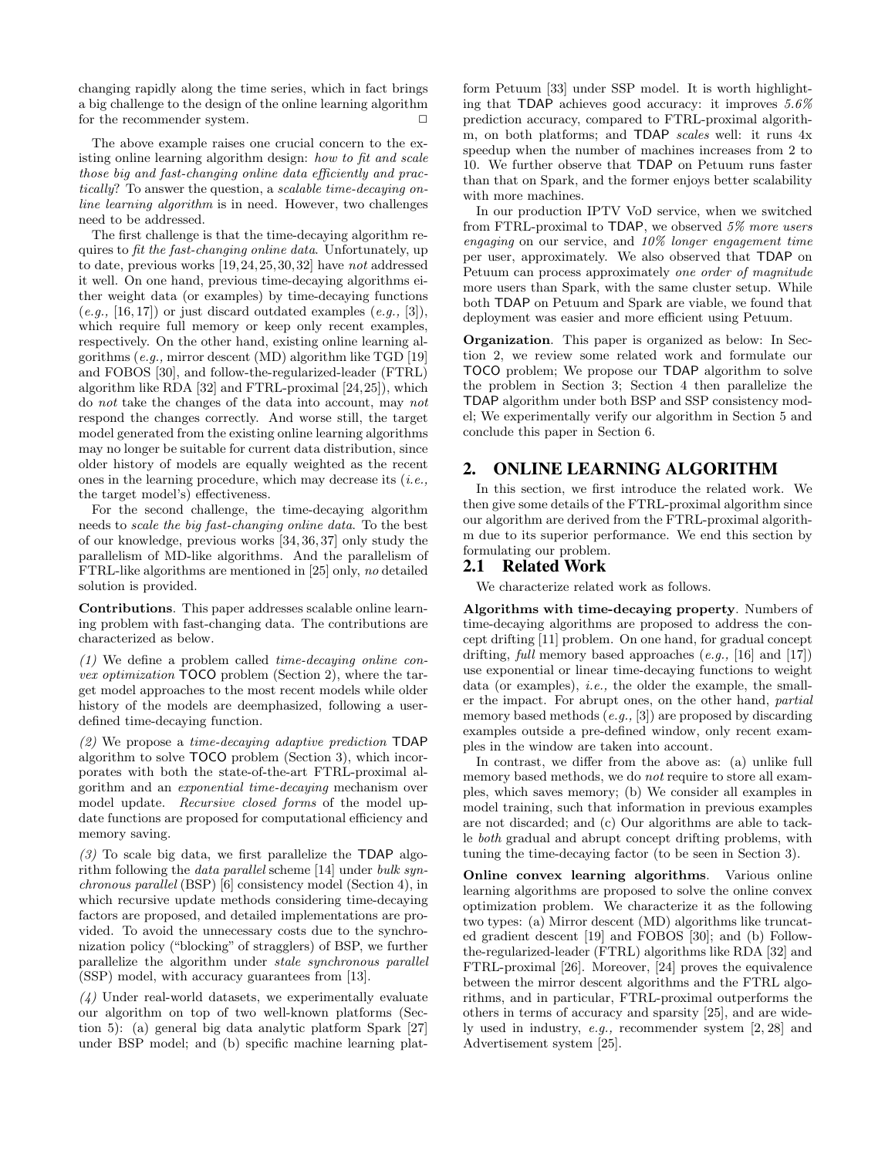changing rapidly along the time series, which in fact brings a big challenge to the design of the online learning algorithm for the recommender system.

The above example raises one crucial concern to the existing online learning algorithm design: how to fit and scale those big and fast-changing online data efficiently and practically? To answer the question, a scalable time-decaying online learning algorithm is in need. However, two challenges need to be addressed.

The first challenge is that the time-decaying algorithm requires to fit the fast-changing online data. Unfortunately, up to date, previous works [19,24,25,30,32] have not addressed it well. On one hand, previous time-decaying algorithms either weight data (or examples) by time-decaying functions  $(e.g., [16, 17])$  or just discard outdated examples  $(e.g., [3]),$ which require full memory or keep only recent examples, respectively. On the other hand, existing online learning algorithms (e.g., mirror descent (MD) algorithm like TGD [19] and FOBOS [30], and follow-the-regularized-leader (FTRL) algorithm like RDA [32] and FTRL-proximal [24,25]), which do not take the changes of the data into account, may not respond the changes correctly. And worse still, the target model generated from the existing online learning algorithms may no longer be suitable for current data distribution, since older history of models are equally weighted as the recent ones in the learning procedure, which may decrease its  $(i.e.,$ the target model's) effectiveness.

For the second challenge, the time-decaying algorithm needs to scale the big fast-changing online data. To the best of our knowledge, previous works [34, 36, 37] only study the parallelism of MD-like algorithms. And the parallelism of FTRL-like algorithms are mentioned in [25] only, no detailed solution is provided.

Contributions. This paper addresses scalable online learning problem with fast-changing data. The contributions are characterized as below.

(1) We define a problem called time-decaying online convex optimization TOCO problem (Section 2), where the target model approaches to the most recent models while older history of the models are deemphasized, following a userdefined time-decaying function.

 $(2)$  We propose a time-decaying adaptive prediction TDAP algorithm to solve TOCO problem (Section 3), which incorporates with both the state-of-the-art FTRL-proximal algorithm and an exponential time-decaying mechanism over model update. Recursive closed forms of the model update functions are proposed for computational efficiency and memory saving.

 $(3)$  To scale big data, we first parallelize the TDAP algorithm following the data parallel scheme [14] under bulk synchronous parallel (BSP) [6] consistency model (Section 4), in which recursive update methods considering time-decaying factors are proposed, and detailed implementations are provided. To avoid the unnecessary costs due to the synchronization policy ("blocking" of stragglers) of BSP, we further parallelize the algorithm under stale synchronous parallel (SSP) model, with accuracy guarantees from [13].

 $(4)$  Under real-world datasets, we experimentally evaluate our algorithm on top of two well-known platforms (Section 5): (a) general big data analytic platform Spark [27] under BSP model; and (b) specific machine learning platform Petuum [33] under SSP model. It is worth highlighting that TDAP achieves good accuracy: it improves 5.6% prediction accuracy, compared to FTRL-proximal algorithm, on both platforms; and TDAP scales well: it runs 4x speedup when the number of machines increases from 2 to 10. We further observe that TDAP on Petuum runs faster than that on Spark, and the former enjoys better scalability with more machines.

In our production IPTV VoD service, when we switched from FTRL-proximal to TDAP, we observed 5% more users engaging on our service, and 10% longer engagement time per user, approximately. We also observed that TDAP on Petuum can process approximately one order of magnitude more users than Spark, with the same cluster setup. While both TDAP on Petuum and Spark are viable, we found that deployment was easier and more efficient using Petuum.

Organization. This paper is organized as below: In Section 2, we review some related work and formulate our TOCO problem; We propose our TDAP algorithm to solve the problem in Section 3; Section 4 then parallelize the TDAP algorithm under both BSP and SSP consistency model; We experimentally verify our algorithm in Section 5 and conclude this paper in Section 6.

#### 2. ONLINE LEARNING ALGORITHM

In this section, we first introduce the related work. We then give some details of the FTRL-proximal algorithm since our algorithm are derived from the FTRL-proximal algorithm due to its superior performance. We end this section by formulating our problem.

#### 2.1 Related Work

We characterize related work as follows.

Algorithms with time-decaying property. Numbers of time-decaying algorithms are proposed to address the concept drifting [11] problem. On one hand, for gradual concept drifting, full memory based approaches (e.g., [16] and [17]) use exponential or linear time-decaying functions to weight data (or examples), i.e., the older the example, the smaller the impact. For abrupt ones, on the other hand, partial memory based methods (e.g., [3]) are proposed by discarding examples outside a pre-defined window, only recent examples in the window are taken into account.

In contrast, we differ from the above as: (a) unlike full memory based methods, we do not require to store all examples, which saves memory; (b) We consider all examples in model training, such that information in previous examples are not discarded; and (c) Our algorithms are able to tackle both gradual and abrupt concept drifting problems, with tuning the time-decaying factor (to be seen in Section 3).

Online convex learning algorithms. Various online learning algorithms are proposed to solve the online convex optimization problem. We characterize it as the following two types: (a) Mirror descent (MD) algorithms like truncated gradient descent [19] and FOBOS [30]; and (b) Followthe-regularized-leader (FTRL) algorithms like RDA [32] and FTRL-proximal [26]. Moreover, [24] proves the equivalence between the mirror descent algorithms and the FTRL algorithms, and in particular, FTRL-proximal outperforms the others in terms of accuracy and sparsity [25], and are widely used in industry, e.g., recommender system [2, 28] and Advertisement system [25].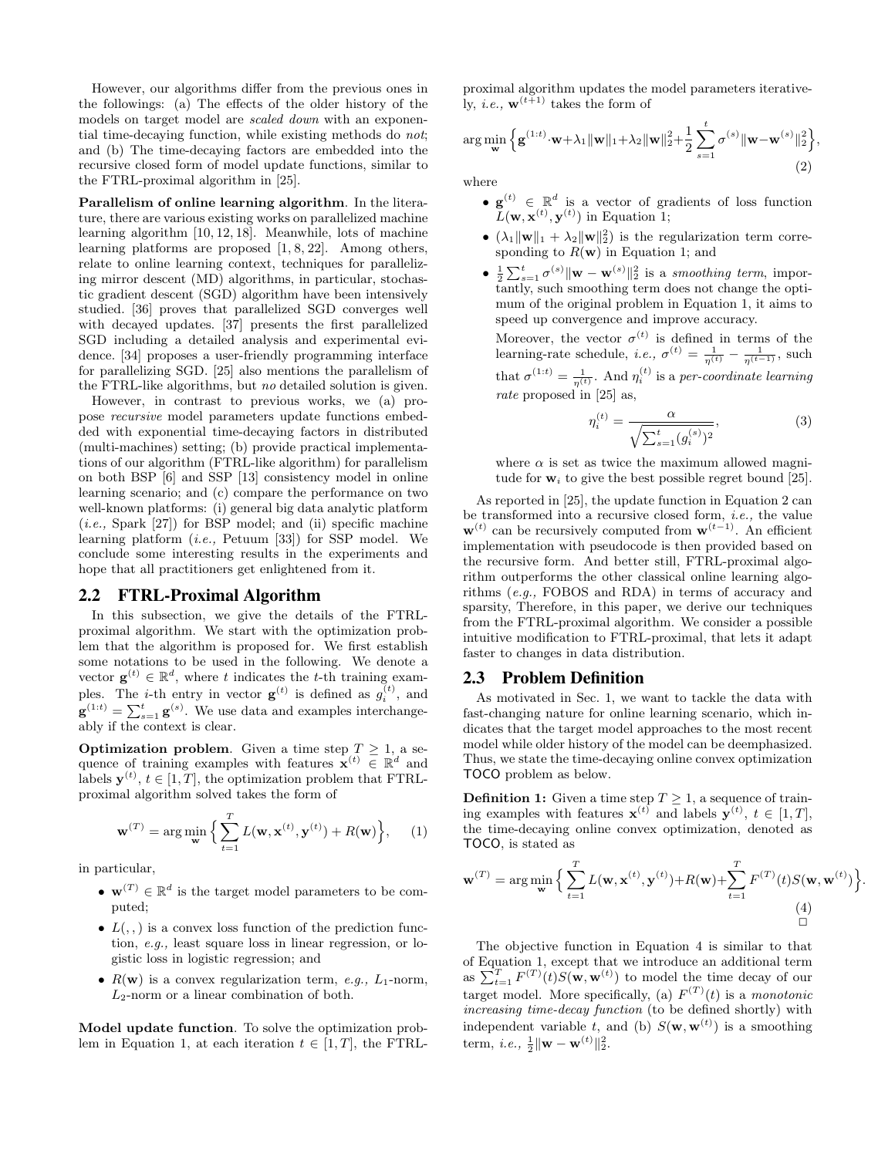However, our algorithms differ from the previous ones in the followings: (a) The effects of the older history of the models on target model are scaled down with an exponential time-decaying function, while existing methods do not; and (b) The time-decaying factors are embedded into the recursive closed form of model update functions, similar to the FTRL-proximal algorithm in [25].

Parallelism of online learning algorithm. In the literature, there are various existing works on parallelized machine learning algorithm [10, 12, 18]. Meanwhile, lots of machine learning platforms are proposed [1, 8, 22]. Among others, relate to online learning context, techniques for parallelizing mirror descent (MD) algorithms, in particular, stochastic gradient descent (SGD) algorithm have been intensively studied. [36] proves that parallelized SGD converges well with decayed updates. [37] presents the first parallelized SGD including a detailed analysis and experimental evidence. [34] proposes a user-friendly programming interface for parallelizing SGD. [25] also mentions the parallelism of the FTRL-like algorithms, but no detailed solution is given.

However, in contrast to previous works, we (a) propose recursive model parameters update functions embedded with exponential time-decaying factors in distributed (multi-machines) setting; (b) provide practical implementations of our algorithm (FTRL-like algorithm) for parallelism on both BSP [6] and SSP [13] consistency model in online learning scenario; and (c) compare the performance on two well-known platforms: (i) general big data analytic platform  $(i.e.,$  Spark  $[27]$ ) for BSP model; and  $(ii)$  specific machine learning platform (i.e., Petuum [33]) for SSP model. We conclude some interesting results in the experiments and hope that all practitioners get enlightened from it.

#### 2.2 FTRL-Proximal Algorithm

In this subsection, we give the details of the FTRLproximal algorithm. We start with the optimization problem that the algorithm is proposed for. We first establish some notations to be used in the following. We denote a vector  $\mathbf{g}^{(t)} \in \mathbb{R}^d$ , where t indicates the t-th training examples. The *i*-th entry in vector  $\mathbf{g}^{(t)}$  is defined as  $g_i^{(t)}$ , and  $\mathbf{g}^{(1:t)} = \sum_{s=1}^{t} \mathbf{g}^{(s)}$ . We use data and examples interchangeably if the context is clear.

**Optimization problem.** Given a time step  $T \geq 1$ , a sequence of training examples with features  $\mathbf{x}^{(t)} \in \mathbb{R}^d$  and labels  $\mathbf{y}^{(t)}$ ,  $t \in [1, T]$ , the optimization problem that FTRLproximal algorithm solved takes the form of

$$
\mathbf{w}^{(T)} = \arg\min_{\mathbf{w}} \left\{ \sum_{t=1}^{T} L(\mathbf{w}, \mathbf{x}^{(t)}, \mathbf{y}^{(t)}) + R(\mathbf{w}) \right\},\qquad(1)
$$

in particular,

- $\mathbf{w}^{(T)} \in \mathbb{R}^d$  is the target model parameters to be computed;
- $L($ ,  $)$  is a convex loss function of the prediction function, e.g., least square loss in linear regression, or logistic loss in logistic regression; and
- $R(\mathbf{w})$  is a convex regularization term, e.g.,  $L_1$ -norm,  $L_2$ -norm or a linear combination of both.

Model update function. To solve the optimization problem in Equation 1, at each iteration  $t \in [1, T]$ , the FTRL- proximal algorithm updates the model parameters iteratively, *i.e.*,  $\mathbf{w}^{(t+1)}$  takes the form of

$$
\arg\min_{\mathbf{w}} \left\{ \mathbf{g}^{(1:t)} \cdot \mathbf{w} + \lambda_1 \|\mathbf{w}\|_1 + \lambda_2 \|\mathbf{w}\|_2^2 + \frac{1}{2} \sum_{s=1}^t \sigma^{(s)} \|\mathbf{w} - \mathbf{w}^{(s)}\|_2^2 \right\},\tag{2}
$$

where

- $\mathbf{g}^{(t)} \in \mathbb{R}^d$  is a vector of gradients of loss function  $L(\mathbf{w}, \mathbf{x}^{(t)}, \mathbf{y}^{(t)})$  in Equation 1;
- $(\lambda_1 \|\mathbf{w}\|_1 + \lambda_2 \|\mathbf{w}\|_2^2)$  is the regularization term corresponding to  $R(\mathbf{w})$  in Equation 1; and
- $\frac{1}{2} \sum_{s=1}^{t} \sigma^{(s)} \| \mathbf{w} \mathbf{w}^{(s)} \|_{2}^{2}$  is a smoothing term, importantly, such smoothing term does not change the optimum of the original problem in Equation 1, it aims to speed up convergence and improve accuracy.

Moreover, the vector  $\sigma^{(t)}$  is defined in terms of the learning-rate schedule, *i.e.*,  $\sigma^{(t)} = \frac{1}{\eta^{(t)}} - \frac{1}{\eta^{(t-1)}}$ , such that  $\sigma^{(1:t)} = \frac{1}{\eta^{(t)}}$ . And  $\eta_i^{(t)}$  is a per-coordinate learning rate proposed in [25] as,

$$
\eta_i^{(t)} = \frac{\alpha}{\sqrt{\sum_{s=1}^t (g_i^{(s)})^2}},\tag{3}
$$

where  $\alpha$  is set as twice the maximum allowed magnitude for  $w_i$  to give the best possible regret bound [25].

As reported in [25], the update function in Equation 2 can be transformed into a recursive closed form, i.e., the value  $\mathbf{w}^{(t)}$  can be recursively computed from  $\mathbf{w}^{(t-1)}$ . An efficient implementation with pseudocode is then provided based on the recursive form. And better still, FTRL-proximal algorithm outperforms the other classical online learning algorithms (e.g., FOBOS and RDA) in terms of accuracy and sparsity, Therefore, in this paper, we derive our techniques from the FTRL-proximal algorithm. We consider a possible intuitive modification to FTRL-proximal, that lets it adapt faster to changes in data distribution.

#### 2.3 Problem Definition

As motivated in Sec. 1, we want to tackle the data with fast-changing nature for online learning scenario, which indicates that the target model approaches to the most recent model while older history of the model can be deemphasized. Thus, we state the time-decaying online convex optimization TOCO problem as below.

**Definition 1:** Given a time step  $T \geq 1$ , a sequence of training examples with features  $\mathbf{x}^{(t)}$  and labels  $\mathbf{y}^{(t)}$ ,  $t \in [1, T]$ , the time-decaying online convex optimization, denoted as TOCO, is stated as

$$
\mathbf{w}^{(T)} = \arg\min_{\mathbf{w}} \left\{ \sum_{t=1}^{T} L(\mathbf{w}, \mathbf{x}^{(t)}, \mathbf{y}^{(t)}) + R(\mathbf{w}) + \sum_{t=1}^{T} F^{(T)}(t) S(\mathbf{w}, \mathbf{w}^{(t)}) \right\}
$$
\n(4)

.

The objective function in Equation 4 is similar to that of Equation 1, except that we introduce an additional term as  $\sum_{t=1}^{T} F^{(T)}(t)S(\mathbf{w}, \mathbf{w}^{(t)})$  to model the time decay of our target model. More specifically, (a)  $F^{(T)}(t)$  is a monotonic increasing time-decay function (to be defined shortly) with independent variable t, and (b)  $S(\mathbf{w}, \mathbf{w}^{(t)})$  is a smoothing term, *i.e.*,  $\frac{1}{2} \|\mathbf{w} - \mathbf{w}^{(t)}\|_2^2$ .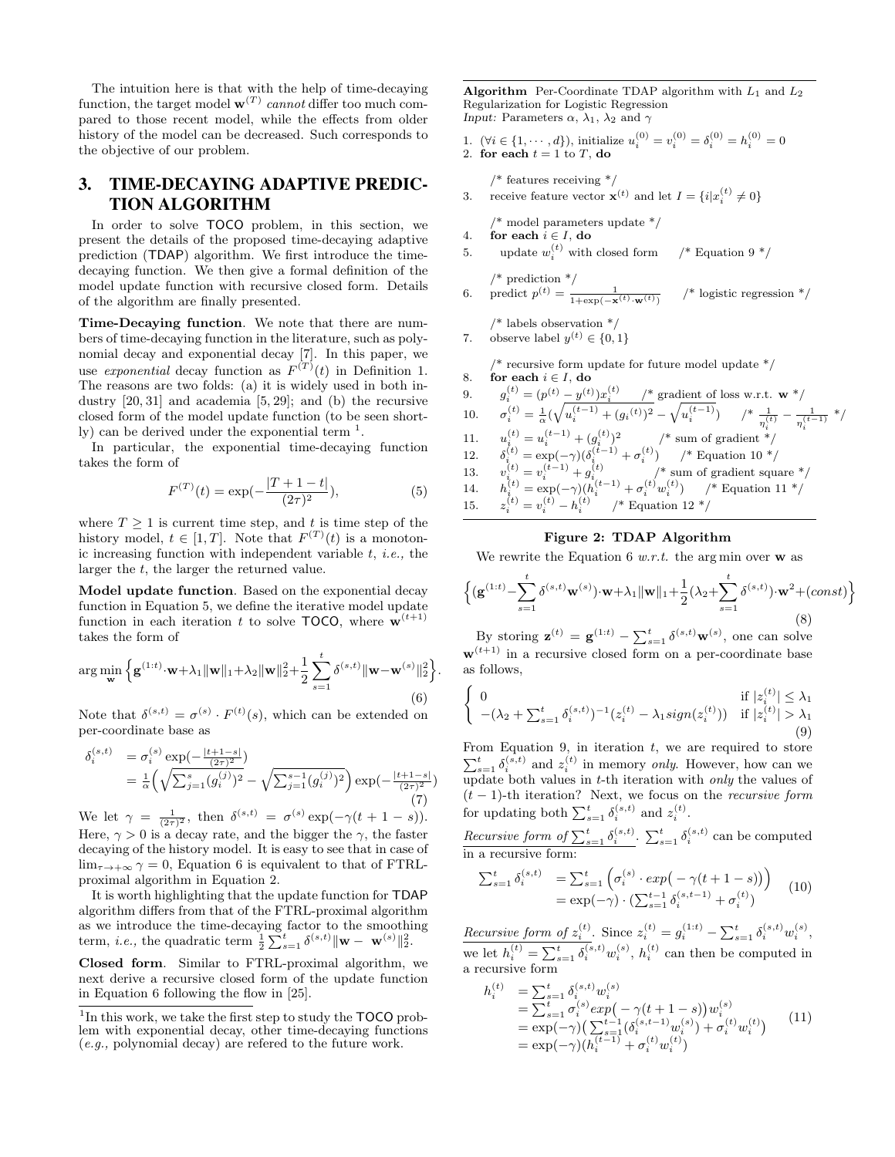The intuition here is that with the help of time-decaying function, the target model  $\mathbf{w}^{(T)}$  cannot differ too much compared to those recent model, while the effects from older history of the model can be decreased. Such corresponds to the objective of our problem.

# 3. TIME-DECAYING ADAPTIVE PREDIC-TION ALGORITHM

In order to solve TOCO problem, in this section, we present the details of the proposed time-decaying adaptive prediction (TDAP) algorithm. We first introduce the timedecaying function. We then give a formal definition of the model update function with recursive closed form. Details of the algorithm are finally presented.

Time-Decaying function. We note that there are numbers of time-decaying function in the literature, such as polynomial decay and exponential decay [7]. In this paper, we use exponential decay function as  $F^{(T)}(t)$  in Definition 1. The reasons are two folds: (a) it is widely used in both industry [20, 31] and academia [5, 29]; and (b) the recursive closed form of the model update function (to be seen shortly) can be derived under the exponential term  $<sup>1</sup>$ .</sup>

In particular, the exponential time-decaying function takes the form of

$$
F^{(T)}(t) = \exp(-\frac{|T+1-t|}{(2\tau)^2}),\tag{5}
$$

where  $T \geq 1$  is current time step, and t is time step of the history model,  $t \in [1, T]$ . Note that  $F^{(T)}(t)$  is a monotonic increasing function with independent variable  $t$ , *i.e.*, the larger the  $t$ , the larger the returned value.

Model update function. Based on the exponential decay function in Equation 5, we define the iterative model update function in each iteration t to solve **TOCO**, where  $\mathbf{w}^{(t+1)}$ takes the form of

$$
\arg\min_{\mathbf{w}} \left\{ \mathbf{g}^{(1:t)} \cdot \mathbf{w} + \lambda_1 \|\mathbf{w}\|_1 + \lambda_2 \|\mathbf{w}\|_2^2 + \frac{1}{2} \sum_{s=1}^t \delta^{(s,t)} \|\mathbf{w} - \mathbf{w}^{(s)}\|_2^2 \right\}
$$
(6)

Note that  $\delta^{(s,t)} = \sigma^{(s)} \cdot F^{(t)}(s)$ , which can be extended on per-coordinate base as

$$
\delta_i^{(s,t)} = \sigma_i^{(s)} \exp\left(-\frac{|t+1-s|}{(2\tau)^2}\right) \n= \frac{1}{\alpha} \left( \sqrt{\sum_{j=1}^s (g_i^{(j)})^2} - \sqrt{\sum_{j=1}^{s-1} (g_i^{(j)})^2} \right) \exp\left(-\frac{|t+1-s|}{(2\tau)^2}\right)
$$
\n(7)

We let  $\gamma = \frac{1}{(2\tau)^2}$ , then  $\delta^{(s,t)} = \sigma^{(s)} \exp(-\gamma(t+1-s)).$ Here,  $\gamma > 0$  is a decay rate, and the bigger the  $\gamma$ , the faster decaying of the history model. It is easy to see that in case of  $\lim_{\tau \to +\infty} \gamma = 0$ , Equation 6 is equivalent to that of FTRLproximal algorithm in Equation 2.

It is worth highlighting that the update function for TDAP algorithm differs from that of the FTRL-proximal algorithm as we introduce the time-decaying factor to the smoothing term, *i.e.*, the quadratic term  $\frac{1}{2} \sum_{s=1}^{t} \delta^{(s,t)} ||\mathbf{w} - \mathbf{w}^{(s)}||_2^2$ .

Closed form. Similar to FTRL-proximal algorithm, we next derive a recursive closed form of the update function in Equation 6 following the flow in [25].

Algorithm Per-Coordinate TDAP algorithm with  $L_1$  and  $L_2$ Regularization for Logistic Regression Input: Parameters  $\alpha$ ,  $\lambda_1$ ,  $\lambda_2$  and  $\gamma$ 

1.  $(\forall i \in \{1, \dots, d\}),$  initialize  $u_i^{(0)} = v_i^{(0)} = \delta_i^{(0)} = h_i^{(0)} = 0$ 2. for each  $t = 1$  to T, do

 $\text{/}^*$  features receiving  $\text{*}/$ 

3. receive feature vector  $\mathbf{x}^{(t)}$  and let  $I = \{i | x_i^{(t)} \neq 0\}$ 

/\* model parameters update \*/

- 4. for each  $i \in I$ , do 5. update  $w_i^{(t)}$  with closed form  $\frac{1}{t}$  Equation 9 \*/
- $/*$  prediction  $*/$

6. predict 
$$
p^{(t)} = \frac{1}{1 + \exp(-\mathbf{x}^{(t)} \cdot \mathbf{w}^{(t)})}
$$
 /\* logistic regression \*/

/\* labels observation \*/

7. observe label  $y^{(t)} \in \{0, 1\}$ 

.

 $/*$  recursive form update for future model update  $*/$ 8. for each  $i \in I$ , do

| 9.  | $g_i^{(t)} = (p^{(t)} - y^{(t)})x_i^{(t)}$ /* gradient of loss w.r.t. $\mathbf{w}^*$ /                                                                                               |
|-----|--------------------------------------------------------------------------------------------------------------------------------------------------------------------------------------|
| 10. | $\sigma_i^{(t)} = \frac{1}{\alpha}(\sqrt{u_i^{(t-1)} + (g_i^{(t)})^2} - \sqrt{u_i^{(t-1)}}) \qquad \text{/*} \frac{1}{\eta_i^{(t)}} - \frac{1}{\eta_i^{(t-1)}} \; \text{*} \text{/}$ |
| 11. | $u_i^{(t)} = u_i^{(t-1)} + (g_i^{(t)})^2$ /* sum of gradient */                                                                                                                      |
|     | 12. $\delta_i^{(t)} = \exp(-\gamma)(\delta_i^{(t-1)} + \sigma_i^{(t)})$ /* Equation 10 */                                                                                            |
| 13. | $v_i^{(t)} = v_i^{(t-1)} + g_i^{(t)}$ /* sum of gradient square */                                                                                                                   |
| 14. | $h_i^{(t)} = \exp(-\gamma)(h_i^{(t-1)} + \sigma_i^{(t)}w_i^{(t)})$ /* Equation 11 */                                                                                                 |
| 15. | $z_i^{(t)} = v_i^{(t)} - h_i^{(t)}$ /* Equation 12 */                                                                                                                                |

#### Figure 2: TDAP Algorithm

We rewrite the Equation 6  $w.r.t.$  the argmin over w as

$$
\left\{ (\mathbf{g}^{(1:t)} - \sum_{s=1}^{t} \delta^{(s,t)} \mathbf{w}^{(s)}) \cdot \mathbf{w} + \lambda_1 \|\mathbf{w}\|_1 + \frac{1}{2} (\lambda_2 + \sum_{s=1}^{t} \delta^{(s,t)}) \cdot \mathbf{w}^2 + (const) \right\}
$$
(8)

By storing  $\mathbf{z}^{(t)} = \mathbf{g}^{(1:t)} - \sum_{s=1}^{t} \delta^{(s,t)} \mathbf{w}^{(s)}$ , one can solve  $\mathbf{w}^{(t+1)}$  in a recursive closed form on a per-coordinate base as follows,

$$
\begin{cases}\n0 & \text{if } |z_i^{(t)}| \le \lambda_1 \\
-(\lambda_2 + \sum_{s=1}^t \delta_i^{(s,t)})^{-1} (z_i^{(t)} - \lambda_1 sign(z_i^{(t)})) & \text{if } |z_i^{(t)}| > \lambda_1 \\
(9)\n\end{cases}
$$

From Equation 9, in iteration  $t$ , we are required to store  $\sum_{s=1}^{t} \delta_i^{(s,t)}$  and  $z_i^{(t)}$  in memory *only*. However, how can we update both values in  $t$ -th iteration with *only* the values of  $(t - 1)$ -th iteration? Next, we focus on the *recursive form* for updating both  $\sum_{s=1}^{t} \delta_i^{(s,t)}$  and  $z_i^{(t)}$ .

Recursive form of  $\sum_{s=1}^{t} \delta_i^{(s,t)}$ .  $\sum_{s=1}^{t} \delta_i^{(s,t)}$  can be computed in a recursive form:

$$
\sum_{s=1}^{t} \delta_i^{(s,t)} = \sum_{s=1}^{t} \left( \sigma_i^{(s)} \cdot exp(-\gamma(t+1-s)) \right)
$$
  
=  $exp(-\gamma) \cdot (\sum_{s=1}^{t-1} \delta_i^{(s,t-1)} + \sigma_i^{(t)})$  (10)

Recursive form of  $z_i^{(t)}$ . Since  $z_i^{(t)} = g_i^{(1:t)} - \sum_{s=1}^t \delta_i^{(s,t)} w_i^{(s)}$ , we let  $h_i^{(t)} = \sum_{s=1}^t \delta_i^{(s,t)} w_i^{(s)}, h_i^{(t)}$  can then be computed in a recursive form

$$
h_i^{(t)} = \sum_{s=1}^t \delta_i^{(s,t)} w_i^{(s)}
$$
  
=  $\sum_{s=1}^t \sigma_i^{(s)} exp(-\gamma (t+1-s)) w_i^{(s)}$   
=  $exp(-\gamma) (\sum_{s=1}^{t-1} (\delta_i^{(s,t-1)} w_i^{(s)}) + \sigma_i^{(t)} w_i^{(t)})$   
=  $exp(-\gamma) (h_i^{(t-1)} + \sigma_i^{(t)} w_i^{(t)})$  (11)

<sup>&</sup>lt;sup>1</sup>In this work, we take the first step to study the TOCO problem with exponential decay, other time-decaying functions (e.g., polynomial decay) are refered to the future work.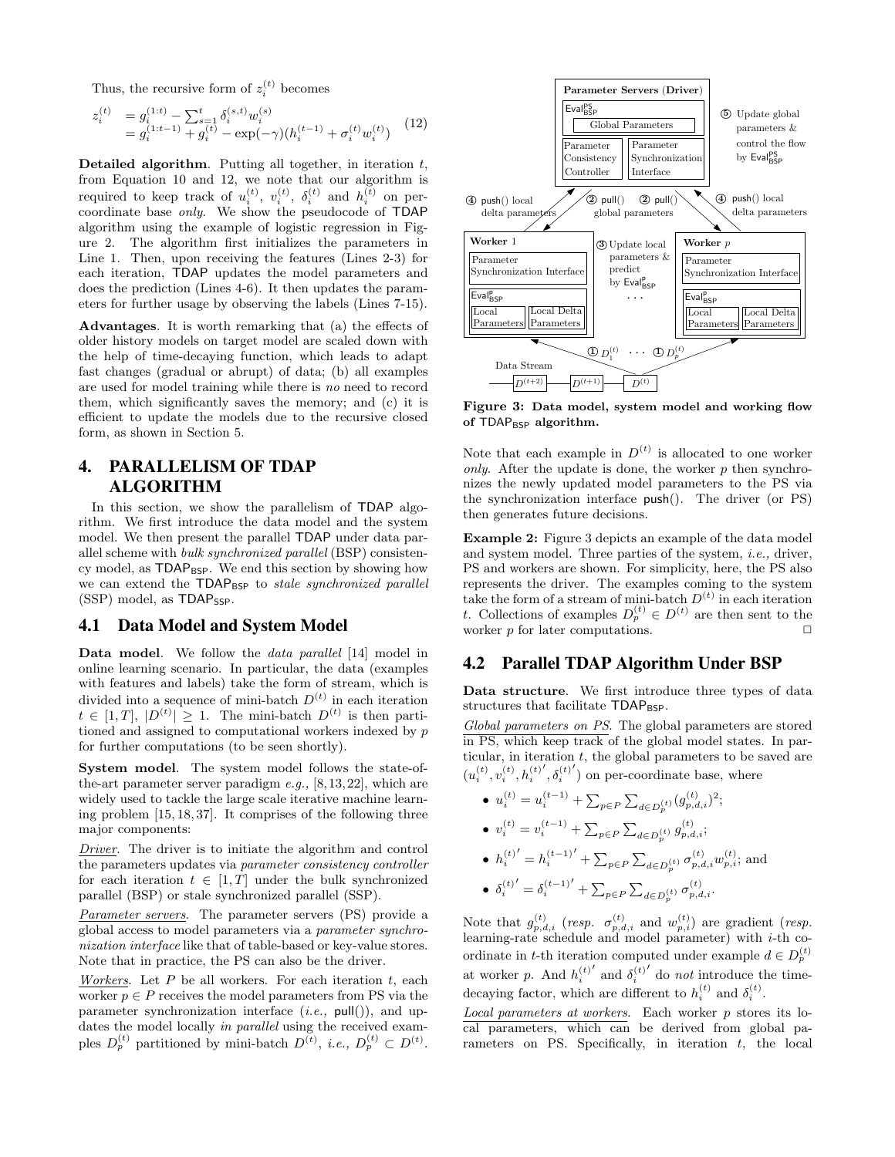Thus, the recursive form of  $z_i^{(t)}$  becomes

$$
z_i^{(t)} = g_i^{(1:t)} - \sum_{s=1}^t \delta_i^{(s,t)} w_i^{(s)}
$$
  
=  $g_i^{(1:t-1)} + g_i^{(t)} - \exp(-\gamma)(h_i^{(t-1)} + \sigma_i^{(t)} w_i^{(t)})$  (12)

Detailed algorithm. Putting all together, in iteration  $t$ , from Equation 10 and 12, we note that our algorithm is required to keep track of  $u_i^{(t)}$ ,  $v_i^{(t)}$ ,  $\delta_i^{(t)}$  and  $h_i^{(t)}$  on percoordinate base only. We show the pseudocode of TDAP algorithm using the example of logistic regression in Figure 2. The algorithm first initializes the parameters in Line 1. Then, upon receiving the features (Lines 2-3) for each iteration, TDAP updates the model parameters and does the prediction (Lines 4-6). It then updates the parameters for further usage by observing the labels (Lines 7-15).

Advantages. It is worth remarking that (a) the effects of older history models on target model are scaled down with the help of time-decaying function, which leads to adapt fast changes (gradual or abrupt) of data; (b) all examples are used for model training while there is no need to record them, which significantly saves the memory; and (c) it is efficient to update the models due to the recursive closed form, as shown in Section 5.

## 4. PARALLELISM OF TDAP ALGORITHM

In this section, we show the parallelism of TDAP algorithm. We first introduce the data model and the system model. We then present the parallel TDAP under data parallel scheme with bulk synchronized parallel (BSP) consistency model, as TDAP<sub>BSP</sub>. We end this section by showing how we can extend the TDAP<sub>BSP</sub> to *stale synchronized parallel*  $(SSP)$  model, as  $TDAP_{SSP}$ .

### 4.1 Data Model and System Model

Data model. We follow the data parallel [14] model in online learning scenario. In particular, the data (examples with features and labels) take the form of stream, which is divided into a sequence of mini-batch  $D^{(t)}$  in each iteration  $t \in [1, T], |D^{(t)}| \geq 1.$  The mini-batch  $D^{(t)}$  is then partitioned and assigned to computational workers indexed by p for further computations (to be seen shortly).

System model. The system model follows the state-ofthe-art parameter server paradigm  $e.g., [8,13,22]$ , which are widely used to tackle the large scale iterative machine learning problem [15, 18, 37]. It comprises of the following three major components:

Driver. The driver is to initiate the algorithm and control the parameters updates via parameter consistency controller for each iteration  $t \in [1, T]$  under the bulk synchronized parallel (BSP) or stale synchronized parallel (SSP).

Parameter servers. The parameter servers (PS) provide a global access to model parameters via a parameter synchronization interface like that of table-based or key-value stores. Note that in practice, the PS can also be the driver.

Workers. Let  $P$  be all workers. For each iteration  $t$ , each worker  $p \in P$  receives the model parameters from PS via the parameter synchronization interface  $(i.e.,$  pull()), and updates the model locally in parallel using the received examples  $D_p^{(t)}$  partitioned by mini-batch  $D^{(t)}$ , *i.e.*,  $D_p^{(t)} \subset D^{(t)}$ .



Figure 3: Data model, system model and working flow of  $\mathsf{TDAP}_\mathsf{BSP}$  algorithm.

Note that each example in  $D^{(t)}$  is allocated to one worker only. After the update is done, the worker  $p$  then synchronizes the newly updated model parameters to the PS via the synchronization interface push(). The driver (or PS) then generates future decisions.

Example 2: Figure 3 depicts an example of the data model and system model. Three parties of the system, i.e., driver, PS and workers are shown. For simplicity, here, the PS also represents the driver. The examples coming to the system take the form of a stream of mini-batch  $D^{(t)}$  in each iteration t. Collections of examples  $D_p^{(t)} \in D^{(t)}$  are then sent to the worker  $p$  for later computations.

#### 4.2 Parallel TDAP Algorithm Under BSP

Data structure. We first introduce three types of data structures that facilitate TDAP<sub>BSP</sub>.

Global parameters on PS. The global parameters are stored in PS, which keep track of the global model states. In particular, in iteration  $t$ , the global parameters to be saved are  $(u_i^{(t)}, v_i^{(t)}, h_i^{(t)}, \delta_i^{(t)'})$  on per-coordinate base, where  $i, \dots, i$ ,  $\sigma_i$ 

•  $u_i^{(t)} = u_i^{(t-1)} + \sum_{p \in P} \sum_{d \in D_p^{(t)}} (g_{p,d,i}^{(t)})^2;$ 

• 
$$
v_i^{(t)} = v_i^{(t-1)} + \sum_{p \in P} \sum_{d \in D_p^{(t)}} g_{p,d,i}^{(t)}
$$
;

 $\bullet\ h_i^{(t)}$  $j' = h_i^{(t-1)}$  $\left(1 + \sum_{p \in P} \sum_{d \in D_p^{(t)}} \sigma_{p,d,i}^{(t)} w_{p,i}^{(t)}; \text{ and} \right)$  $(t)'$   $g(t-1)'$   $\sum$   $(f(t-1)')$ 

• 
$$
\delta_i^{(t)'} = \delta_i^{(t-1)'} + \sum_{p \in P} \sum_{d \in D_p^{(t)}} \sigma_{p,d,i}^{(t)}
$$
.

Note that  $g_{p,d,i}^{(t)}$  (resp.  $\sigma_{p,d,i}^{(t)}$  and  $w_{p,i}^{(t)}$ ) are gradient (resp. learning-rate schedule and model parameter) with i-th coordinate in t-th iteration computed under example  $d \in D_p^{(t)}$ at worker p. And  $h_i^{(t)}$  $'$  and  $\delta_i^{\vec{\left(t\right)}}$  $\sigma$  do *not* introduce the timedecaying factor, which are different to  $h_i^{(t)}$  and  $\delta_i^{(t)}$ .

Local parameters at workers. Each worker p stores its local parameters, which can be derived from global parameters on PS. Specifically, in iteration  $t$ , the local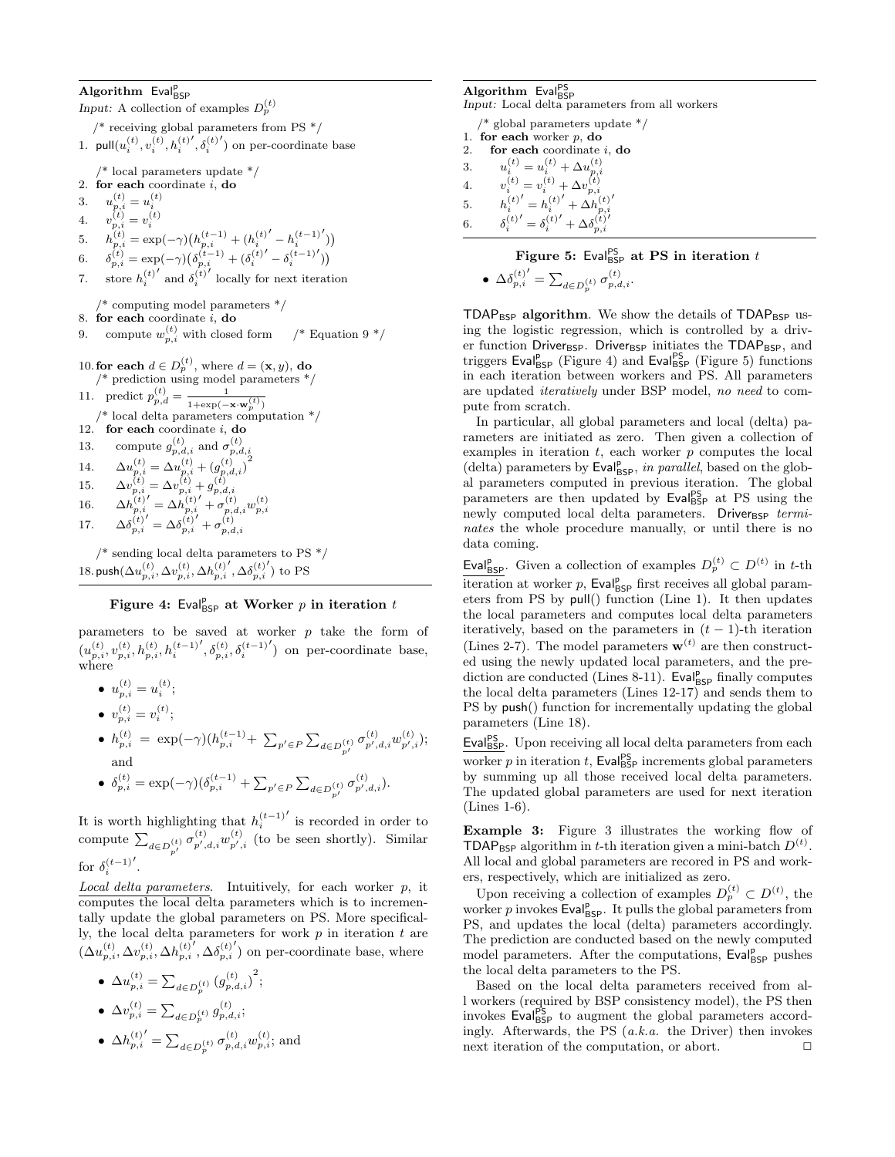# Algorithm Eval<sub>BSP</sub>

Input: A collection of examples  $D_p^{(t)}$  $/*$  receiving global parameters from PS  $*/$ 1.  $\text{pull}(u_i^{(t)}, v_i^{(t)}, h_i^{(t)})$  $\left\langle \delta_i^{(t)}\right\rangle$ <sup>'</sup>) on per-coordinate base /\* local parameters update \*/ 2. for each coordinate  $i$ , do 3.  $u_{p,i}^{(t)} = u_i^{(t)}$ 4.  $v_{p,i}^{(t)} = v_i^{(t)}$ 5.  $h_{p,i}^{(t)} = \exp(-\gamma) \left( h_{p,i}^{(t-1)} + (h_i^{(t)}) \right)$  $- h_i^{(t-1)}$  $\mathcal{L}$ 6.  $\delta_{p,i}^{(t)} = \exp(-\gamma) \left( \delta_{p,i}^{(t-1)} + (\delta_i^{(t)}) \right)$  $\frac{\delta^{(t-1)}}{i}$  $\mathcal{L}$ 7. store  $h_i^{(t)}$  $'$  and  $\delta_i^{(t)}$ locally for next iteration /\* computing model parameters \*/ 8. for each coordinate  $i$ , do 9. compute  $w_{p,i}^{(t)}$  with closed form  $\frac{1}{t}$  Equation 9  $\frac{*}{t}$ 10. for each  $d \in D_p^{(t)}$ , where  $d = (\mathbf{x}, y)$ , do /\* prediction using model parameters \*/ 11. predict  $p_{p,d}^{(t)} = \frac{1}{1 + \exp(-\mathbf{x} \cdot \mathbf{w}_p^{(t)})}$ /\* local delta parameters computation \*/ 12. for each coordinate  $i$ , do 13. compute  $g_{p,d,i}^{(t)}$  and  $\sigma_{p,d,i}^{(t)}$ 14.  $\Delta u_{p,i}^{(t)} = \Delta u_{p,i}^{(t)} + (g_{p,d,i}^{(t)})^2$ 15.  $\Delta v_{p,i}^{(t)} = \Delta v_{p,i}^{(t)} + g_{p,d,i}^{(t)}$ 16.  $\Delta h_{p,i}^{(t)}$  $\alpha' = \Delta h_{p,i}^{(t)}$  $'+\sigma_{p,d,i}^{(t)}w_{p,i}^{(t)}$ 17.  $\Delta \delta_{p,i}^{(t)}$  $\sigma' = \Delta \delta_{p,i}^{(t)}$  $\sigma_{p,d,i}^{(t)}$  $\frac{1}{8}$  sending local delta parameters to PS  $\frac{1}{8}$  $18$ . push $(\Delta u_{p,i}^{(t)},\Delta v_{p,i}^{(t)},\Delta h_{p,i}^{(t)})$  $\Delta \delta_{p,i}^{(t)}$  $\prime$ ) to PS

# Figure 4: Eval $_{\tiny{\sf BSP}}^{\sf p}$  at Worker  $p$  in iteration  $t$

parameters to be saved at worker  $p$  take the form of  $(u_{p,i}^{(t)},v_{p,i}^{(t)},h_{p,i}^{(t)},h_{i}^{(t-1)})$  $', \delta_{p,i}^{(t)}, \delta_i^{(t-1)}$ 0 ) on per-coordinate base, where

• 
$$
u_{p,i}^{(t)} = u_i^{(t)};
$$

• 
$$
v_{p,i}^{(t)} = v_i^{(t)};
$$

\n- \n
$$
h_{p,i}^{(t)} = \exp(-\gamma)(h_{p,i}^{(t-1)} + \sum_{p' \in P} \sum_{d \in D_{p'}^{(t)}} \sigma_{p',d,i}^{(t)} w_{p',i}^{(t)});
$$
\n and\n
\n- \n
$$
\delta_{p,i}^{(t)} = \exp(-\gamma)(\delta_{p,i}^{(t-1)} + \sum_{p' \in P} \sum_{d \in D_{p'}^{(t)}} \sigma_{p',d,i}^{(t)}).
$$
\n
\n

It is worth highlighting that  $h_i^{(t-1)}$  $\prime$  is recorded in order to compute  $\sum_{d \in D_{p'}^{(t)}} \sigma_{p',d,i}^{(t)} w_{p',i}^{(t)}$  (to be seen shortly). Similar for  $\delta_i^{(t-1)}$  $\cdot$ 

Local delta parameters. Intuitively, for each worker p, it computes the local delta parameters which is to incrementally update the global parameters on PS. More specifically, the local delta parameters for work  $p$  in iteration  $t$  are  $(\Delta u_{p,i}^{(t)}, \Delta v_{p,i}^{(t)}, \Delta h_{p,i}^{(t)})$  $\Delta \delta_{p,i}^{(t)}$  $\left( \right)$  on per-coordinate base, where

• 
$$
\Delta u_{p,i}^{(t)} = \sum_{d \in D_p^{(t)}} (g_{p,d,i}^{(t)})^2;
$$

• 
$$
\Delta v_{p,i}^{(t)} = \sum_{d \in D_p^{(t)}} g_{p,d,i}^{(t)}
$$
;

$$
\bullet
$$
  $\Delta h_{p,i}^{(t)'}=\sum_{d\in D_p^{(t)}}\sigma_{p,d,i}^{(t)}w_{p,i}^{(t)};$  and

Algorithm Eval<sup>PS</sup> Input: Local delta parameters from all workers /\* global parameters update \*/ 1. for each worker  $p$ , do 2. for each coordinate for each coordinate  $i$ , do 3.  $u_i^{(t)} = u_i^{(t)} + \Delta u_{p,i}^{(t)}$ 4.  $v_i^{(t)} = v_i^{(t)} + \Delta v_{p,i}^{(t)}$ 5.  $h_i^{(t)}$  $i' = h_i^{(t)}$  $'+\Delta h_{p,i}^{(t)}$  $\prime$ 6.  $\delta_i^{(t)}$  $j' = \delta_i^{(t)}$  $\gamma' + \Delta \delta_{p,i}^{(t)}$  $\overline{\phantom{a}}$ 

Figure 5: Eval $_{\rm{BSP}}^{\rm{PS}}$  at PS in iteration  $t$ 

$$
\bullet \ \Delta \delta^{(t)'}_{p,i} = \textstyle \sum_{d \in D^{(t)}_p} \sigma^{(t)}_{p,d,i}.
$$

 $TDAP_{\text{BSP}}$  algorithm. We show the details of  $TDAP_{\text{BSP}}$  using the logistic regression, which is controlled by a driver function Driver<sub>BSP</sub>. Driver<sub>BSP</sub> initiates the TDAP<sub>BSP</sub>, and triggers Eval<sup>p</sup><sub>BSP</sub> (Figure 4) and Eval<sup>pS</sup><sub>BSP</sub> (Figure 5) functions in each iteration between workers and PS. All parameters are updated iteratively under BSP model, no need to compute from scratch.

In particular, all global parameters and local (delta) parameters are initiated as zero. Then given a collection of examples in iteration  $t$ , each worker  $p$  computes the local (delta) parameters by  $\textsf{Eval}^\textsf{p}_\textsf{BSP}$ , in parallel, based on the global parameters computed in previous iteration. The global parameters are then updated by Eval<sup>ps</sup> at PS using the newly computed local delta parameters. Driver $_{\text{BSP}}$  terminates the whole procedure manually, or until there is no data coming.

Eval<sup>p</sup><sub>BSP</sub>. Given a collection of examples  $D_p^{(t)} \subset D^{(t)}$  in t-th  $\overline{\text{iteration}}$  at worker p, Eval<sub>BSP</sub> first receives all global parameters from PS by pull() function (Line 1). It then updates the local parameters and computes local delta parameters iteratively, based on the parameters in  $(t - 1)$ -th iteration (Lines 2-7). The model parameters  $\mathbf{w}^{(t)}$  are then constructed using the newly updated local parameters, and the prediction are conducted (Lines 8-11). Eval<sup>p</sup><sub>BSP</sub> finally computes the local delta parameters (Lines 12-17) and sends them to PS by push() function for incrementally updating the global parameters (Line 18).

Eval<sup>PS</sup><sub>BSP</sub>. Upon receiving all local delta parameters from each worker  $p$  in iteration  $t$ , Eval<sub>BSP</sub> increments global parameters by summing up all those received local delta parameters. The updated global parameters are used for next iteration (Lines 1-6).

Example 3: Figure 3 illustrates the working flow of **TDAP**<sub>BSP</sub> algorithm in t-th iteration given a mini-batch  $D^{(t)}$ . All local and global parameters are recored in PS and workers, respectively, which are initialized as zero.

Upon receiving a collection of examples  $D_p^{(t)} \subset D^{(t)}$ , the worker  $p$  invokes Eval<sub>gsp</sub>. It pulls the global parameters from PS, and updates the local (delta) parameters accordingly. The prediction are conducted based on the newly computed model parameters. After the computations, Eval<sub>BSP</sub> pushes the local delta parameters to the PS.

Based on the local delta parameters received from all workers (required by BSP consistency model), the PS then invokes Eval<sup>ps</sup><sub>BSP</sub> to augment the global parameters accordingly. Afterwards, the PS  $(a.k.a.$  the Driver) then invokes next iteration of the computation, or abort.  $\Box$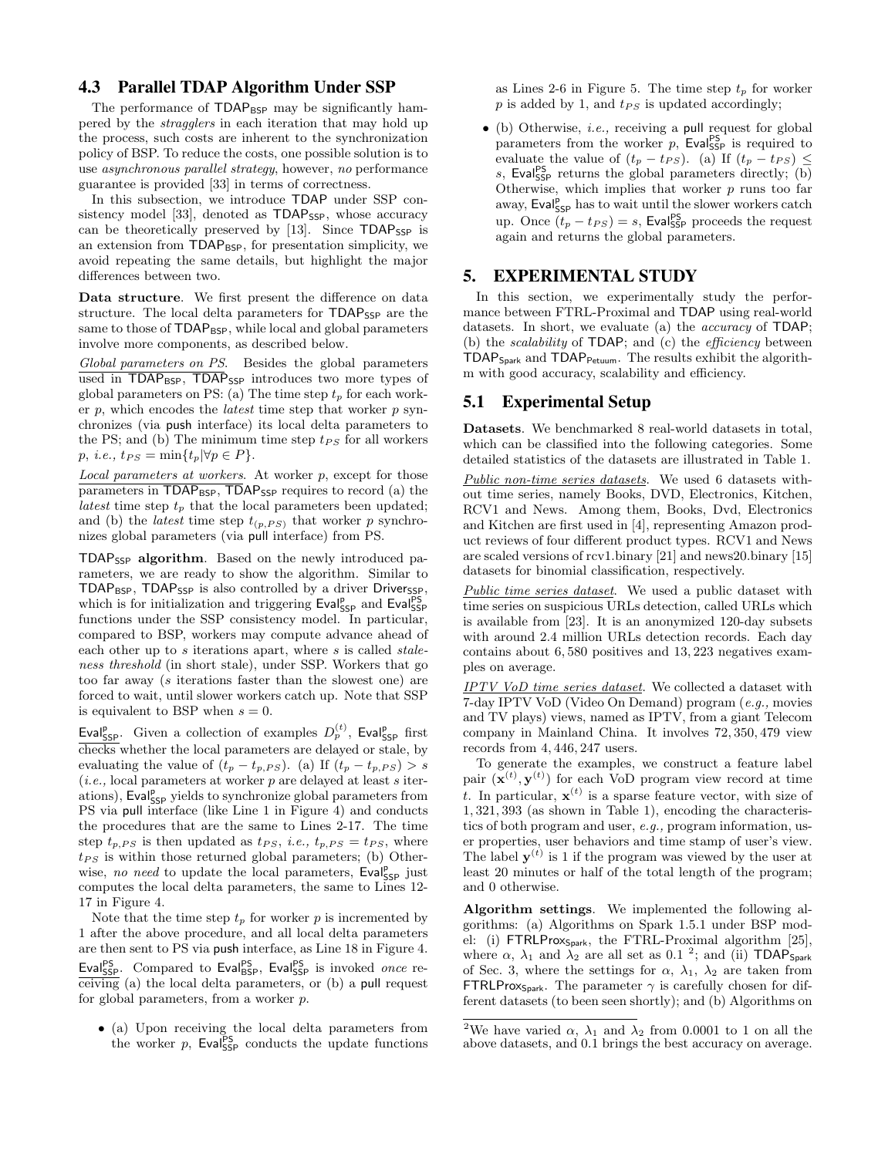#### 4.3 Parallel TDAP Algorithm Under SSP

The performance of TDAP<sub>BSP</sub> may be significantly hampered by the stragglers in each iteration that may hold up the process, such costs are inherent to the synchronization policy of BSP. To reduce the costs, one possible solution is to use asynchronous parallel strategy, however, no performance guarantee is provided [33] in terms of correctness.

In this subsection, we introduce TDAP under SSP consistency model [33], denoted as  $TDAP_{SSP}$ , whose accuracy can be theoretically preserved by [13]. Since TDAP<sub>SSP</sub> is an extension from  $TDAP_{\text{BSP}}$ , for presentation simplicity, we avoid repeating the same details, but highlight the major differences between two.

Data structure. We first present the difference on data structure. The local delta parameters for TDAP<sub>SSP</sub> are the same to those of TDAP<sub>BSP</sub>, while local and global parameters involve more components, as described below.

Global parameters on PS. Besides the global parameters used in TDAP<sub>BSP</sub>, TDAP<sub>SSP</sub> introduces two more types of global parameters on PS: (a) The time step  $t_p$  for each worker  $p$ , which encodes the *latest* time step that worker  $p$  synchronizes (via push interface) its local delta parameters to the PS; and (b) The minimum time step  $t_{PS}$  for all workers  $p, i.e., t_{PS} = \min\{t_p|\forall p \in P\}.$ 

Local parameters at workers. At worker p, except for those  $\overline{\text{parameters in TDAP}_{\text{BSP}}}, \overline{\text{TDAP}}_{\text{SSP}}$  requires to record (a) the latest time step  $t_p$  that the local parameters been updated; and (b) the *latest* time step  $t_{(p,PS)}$  that worker p synchronizes global parameters (via pull interface) from PS.

TDAPSSP algorithm. Based on the newly introduced parameters, we are ready to show the algorithm. Similar to TDAP<sub>BSP</sub>, TDAP<sub>SSP</sub> is also controlled by a driver Driver<sub>SSP</sub>, which is for initialization and triggering  $\textsf{Eval}_{\textsf{SSP}}^{\textsf{PS}}$  and  $\textsf{Eval}_{\textsf{SSP}}^{\textsf{PS}}$ functions under the SSP consistency model. In particular, compared to BSP, workers may compute advance ahead of each other up to  $s$  iterations apart, where  $s$  is called  $stable$ ness threshold (in short stale), under SSP. Workers that go too far away (s iterations faster than the slowest one) are forced to wait, until slower workers catch up. Note that SSP is equivalent to BSP when  $s = 0$ .

Eval<sup>p</sup><sub>SSP</sub>. Given a collection of examples  $D_p^{(t)}$ , Eval<sub>SSP</sub> first checks whether the local parameters are delayed or stale, by evaluating the value of  $(t_p - t_{p,PS})$ . (a) If  $(t_p - t_{p,PS}) > s$  $(i.e., local parameters at worker  $p$  are delayed at least  $s$  iter$ ations), Eval<sub>SSP</sub> yields to synchronize global parameters from PS via pull interface (like Line 1 in Figure 4) and conducts the procedures that are the same to Lines 2-17. The time step  $t_{p,PS}$  is then updated as  $t_{PS}$ , *i.e.*,  $t_{p,PS} = t_{PS}$ , where  $t_{PS}$  is within those returned global parameters; (b) Otherwise, no need to update the local parameters, Eval<sub>SSP</sub> just computes the local delta parameters, the same to Lines 12- 17 in Figure 4.

Note that the time step  $t_p$  for worker p is incremented by 1 after the above procedure, and all local delta parameters are then sent to PS via push interface, as Line 18 in Figure 4. Eval<sup>PS</sup><sub>SSP</sub>. Compared to Eval<sup>PS</sup><sub>BSP</sub>, Eval<sup>PS</sup><sub>SSP</sub> is invoked once receiving (a) the local delta parameters, or (b) a pull request for global parameters, from a worker p.

• (a) Upon receiving the local delta parameters from the worker  $p$ , Evalgs<sub>p</sub> conducts the update functions

as Lines 2-6 in Figure 5. The time step  $t_p$  for worker  $p$  is added by 1, and  $t_{PS}$  is updated accordingly;

• (b) Otherwise, i.e., receiving a pull request for global parameters from the worker  $p$ , Eval<sup>ps</sup> is required to evaluate the value of  $(t_p - t_{PS})$ . (a) If  $(t_p - t_{PS}) \le$ s, Evalgs<sub>p</sub> returns the global parameters directly; (b) Otherwise, which implies that worker  $p$  runs too far away,  $\mathsf{Eval}_{\mathsf{SSP}}^{\mathsf{p}}$  has to wait until the slower workers catch up. Once  $(t_p - t_{PS}) = s$ , Eval<sup>ps</sup><sub>SSP</sub> proceeds the request again and returns the global parameters.

#### 5. EXPERIMENTAL STUDY

In this section, we experimentally study the performance between FTRL-Proximal and TDAP using real-world datasets. In short, we evaluate (a) the *accuracy* of **TDAP**; (b) the *scalability* of **TDAP**; and (c) the *efficiency* between TDAPSpark and TDAPPetuum. The results exhibit the algorithm with good accuracy, scalability and efficiency.

### 5.1 Experimental Setup

Datasets. We benchmarked 8 real-world datasets in total, which can be classified into the following categories. Some detailed statistics of the datasets are illustrated in Table 1.

Public non-time series datasets. We used 6 datasets without time series, namely Books, DVD, Electronics, Kitchen, RCV1 and News. Among them, Books, Dvd, Electronics and Kitchen are first used in [4], representing Amazon product reviews of four different product types. RCV1 and News are scaled versions of rcv1.binary [21] and news20.binary [15] datasets for binomial classification, respectively.

Public time series dataset. We used a public dataset with time series on suspicious URLs detection, called URLs which is available from [23]. It is an anonymized 120-day subsets with around 2.4 million URLs detection records. Each day contains about 6, 580 positives and 13, 223 negatives examples on average.

IPTV VoD time series dataset. We collected a dataset with 7-day IPTV VoD (Video On Demand) program (e.g., movies and TV plays) views, named as IPTV, from a giant Telecom company in Mainland China. It involves 72, 350, 479 view records from 4, 446, 247 users.

To generate the examples, we construct a feature label pair  $(\mathbf{x}^{(t)}, \mathbf{y}^{(t)})$  for each VoD program view record at time t. In particular,  $\mathbf{x}^{(t)}$  is a sparse feature vector, with size of 1, 321, 393 (as shown in Table 1), encoding the characteristics of both program and user, e.g., program information, user properties, user behaviors and time stamp of user's view. The label  $y^{(t)}$  is 1 if the program was viewed by the user at least 20 minutes or half of the total length of the program; and 0 otherwise.

Algorithm settings. We implemented the following algorithms: (a) Algorithms on Spark 1.5.1 under BSP model: (i) FTRLProxSpark, the FTRL-Proximal algorithm [25], where  $\alpha$ ,  $\lambda_1$  and  $\lambda_2$  are all set as 0.1<sup>2</sup>; and (ii) **TDAP**<sub>Spark</sub> of Sec. 3, where the settings for  $\alpha$ ,  $\lambda_1$ ,  $\lambda_2$  are taken from **FTRLProx**<sub>Spark</sub>. The parameter  $\gamma$  is carefully chosen for different datasets (to been seen shortly); and (b) Algorithms on

<sup>&</sup>lt;sup>2</sup>We have varied  $\alpha$ ,  $\overline{\lambda}_1$  and  $\overline{\lambda}_2$  from 0.0001 to 1 on all the above datasets, and 0.1 brings the best accuracy on average.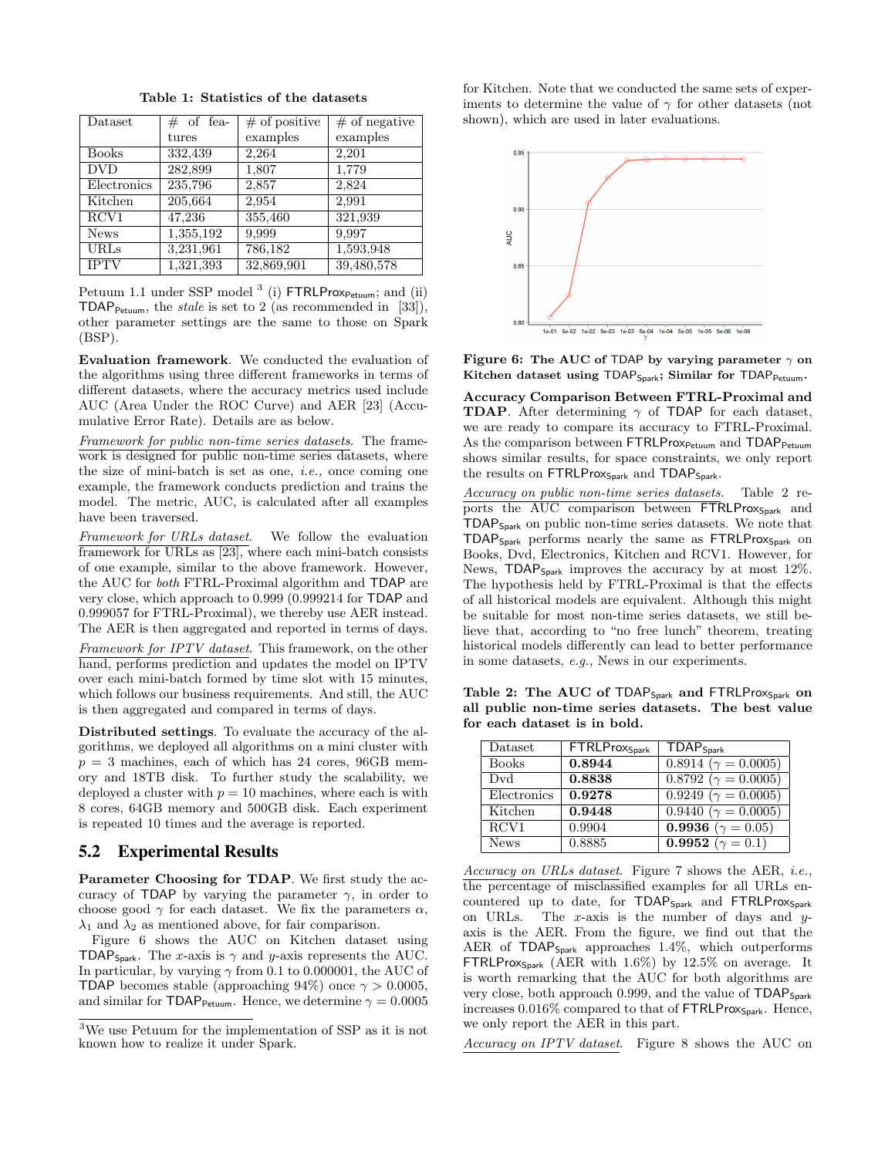| Dataset      | $\#$ of fea- | $\#$ of positive | $#$ of negative |
|--------------|--------------|------------------|-----------------|
|              | tures        | examples         | examples        |
| <b>Books</b> | 332,439      | 2,264            | 2,201           |
| <b>DVD</b>   | 282,899      | 1,807            | 1,779           |
| Electronics  | 235,796      | 2,857            | 2,824           |
| Kitchen      | 205,664      | 2,954            | 2,991           |
| RCV1         | 47,236       | 355,460          | 321,939         |
| <b>News</b>  | 1,355,192    | 9,999            | 9,997           |
| <b>URLs</b>  | 3,231,961    | 786,182          | 1,593,948       |
| <b>IPTV</b>  | 1,321,393    | 32,869,901       | 39,480,578      |

Table 1: Statistics of the datasets

Petuum 1.1 under SSP model<sup>3</sup> (i) FTRLProx<sub>Petuum</sub>; and (ii) TDAP<sub>Petuum</sub>, the *stale* is set to 2 (as recommended in [33]), other parameter settings are the same to those on Spark (BSP).

Evaluation framework. We conducted the evaluation of the algorithms using three different frameworks in terms of different datasets, where the accuracy metrics used include AUC (Area Under the ROC Curve) and AER [23] (Accumulative Error Rate). Details are as below.

Framework for public non-time series datasets. The framework is designed for public non-time series datasets, where the size of mini-batch is set as one, *i.e.*, once coming one example, the framework conducts prediction and trains the model. The metric, AUC, is calculated after all examples have been traversed.

Framework for URLs dataset. We follow the evaluation framework for URLs as [23], where each mini-batch consists of one example, similar to the above framework. However, the AUC for both FTRL-Proximal algorithm and TDAP are very close, which approach to 0.999 (0.999214 for TDAP and 0.999057 for FTRL-Proximal), we thereby use AER instead. The AER is then aggregated and reported in terms of days.

Framework for IPTV dataset. This framework, on the other hand, performs prediction and updates the model on IPTV over each mini-batch formed by time slot with 15 minutes, which follows our business requirements. And still, the AUC is then aggregated and compared in terms of days.

Distributed settings. To evaluate the accuracy of the algorithms, we deployed all algorithms on a mini cluster with  $p = 3$  machines, each of which has 24 cores, 96GB memory and 18TB disk. To further study the scalability, we deployed a cluster with  $p = 10$  machines, where each is with 8 cores, 64GB memory and 500GB disk. Each experiment is repeated 10 times and the average is reported.

#### 5.2 Experimental Results

Parameter Choosing for TDAP. We first study the accuracy of TDAP by varying the parameter  $\gamma$ , in order to choose good  $\gamma$  for each dataset. We fix the parameters  $\alpha$ ,  $\lambda_1$  and  $\lambda_2$  as mentioned above, for fair comparison.

Figure 6 shows the AUC on Kitchen dataset using TDAP<sub>Spark</sub>. The x-axis is  $\gamma$  and y-axis represents the AUC. In particular, by varying  $\gamma$  from 0.1 to 0.000001, the AUC of TDAP becomes stable (approaching 94%) once  $\gamma > 0.0005$ , and similar for TDAP<sub>Petuum</sub>. Hence, we determine  $\gamma = 0.0005$ 

for Kitchen. Note that we conducted the same sets of experiments to determine the value of  $\gamma$  for other datasets (not shown), which are used in later evaluations.



Figure 6: The AUC of TDAP by varying parameter  $\gamma$  on Kitchen dataset using  $\textsf{TDAP}_{\textsf{Spark}}$ ; Similar for  $\textsf{TDAP}_{\textsf{Petuum}}$ .

Accuracy Comparison Between FTRL-Proximal and **TDAP**. After determining  $\gamma$  of TDAP for each dataset, we are ready to compare its accuracy to FTRL-Proximal. As the comparison between FTRLProx<sub>Petuum</sub> and TDAP<sub>Petuum</sub> shows similar results, for space constraints, we only report the results on FTRLProx<sub>Spark</sub> and TDAP<sub>Spark</sub>.

Accuracy on public non-time series datasets. Table 2 reports the AUC comparison between FTRLProx<sub>Spark</sub> and TDAPSpark on public non-time series datasets. We note that TDAPSpark performs nearly the same as FTRLProxSpark on Books, Dvd, Electronics, Kitchen and RCV1. However, for News,  $TDAP_{Spark}$  improves the accuracy by at most 12%. The hypothesis held by FTRL-Proximal is that the effects of all historical models are equivalent. Although this might be suitable for most non-time series datasets, we still believe that, according to "no free lunch" theorem, treating historical models differently can lead to better performance in some datasets, e.g., News in our experiments.

Table 2: The AUC of  $TDAP_{Spark}$  and  $FTRLP_{rox}$  on all public non-time series datasets. The best value for each dataset is in bold.

| Dataset      | <b>FTRLProx</b> Spark | $TDAP_{Spark}$                    |
|--------------|-----------------------|-----------------------------------|
| <b>Books</b> | 0.8944                | 0.8914 ( $\gamma = 0.0005$ )      |
| Dvd          | 0.8838                | $0.8792 (\gamma = 0.0005)$        |
| Electronics  | 0.9278                | $0.9249\ (\gamma = 0.0005)$       |
| Kitchen      | 0.9448                | 0.9440 ( $\gamma = 0.0005$ )      |
| RCV1         | 0.9904                | <b>0.9936</b> ( $\gamma = 0.05$ ) |
| <b>News</b>  | 0.8885                | $\overline{0.9952\;(\gamma=0.1)}$ |

Accuracy on URLs dataset. Figure 7 shows the AER, *i.e.*, the percentage of misclassified examples for all URLs encountered up to date, for TDAP<sub>Spark</sub> and FTRLProx<sub>Spark</sub> on URLs. The x-axis is the number of days and  $y$ axis is the AER. From the figure, we find out that the AER of  $TDAP_{Spark}$  approaches 1.4%, which outperforms FTRLProx $_{Spark}$  (AER with 1.6%) by 12.5% on average. It is worth remarking that the AUC for both algorithms are very close, both approach 0.999, and the value of TDAP<sub>Spark</sub> increases  $0.016\%$  compared to that of FTRLProx $_{Spark}$ . Hence, we only report the AER in this part.

Accuracy on IPTV dataset. Figure 8 shows the AUC on

<sup>3</sup>We use Petuum for the implementation of SSP as it is not known how to realize it under Spark.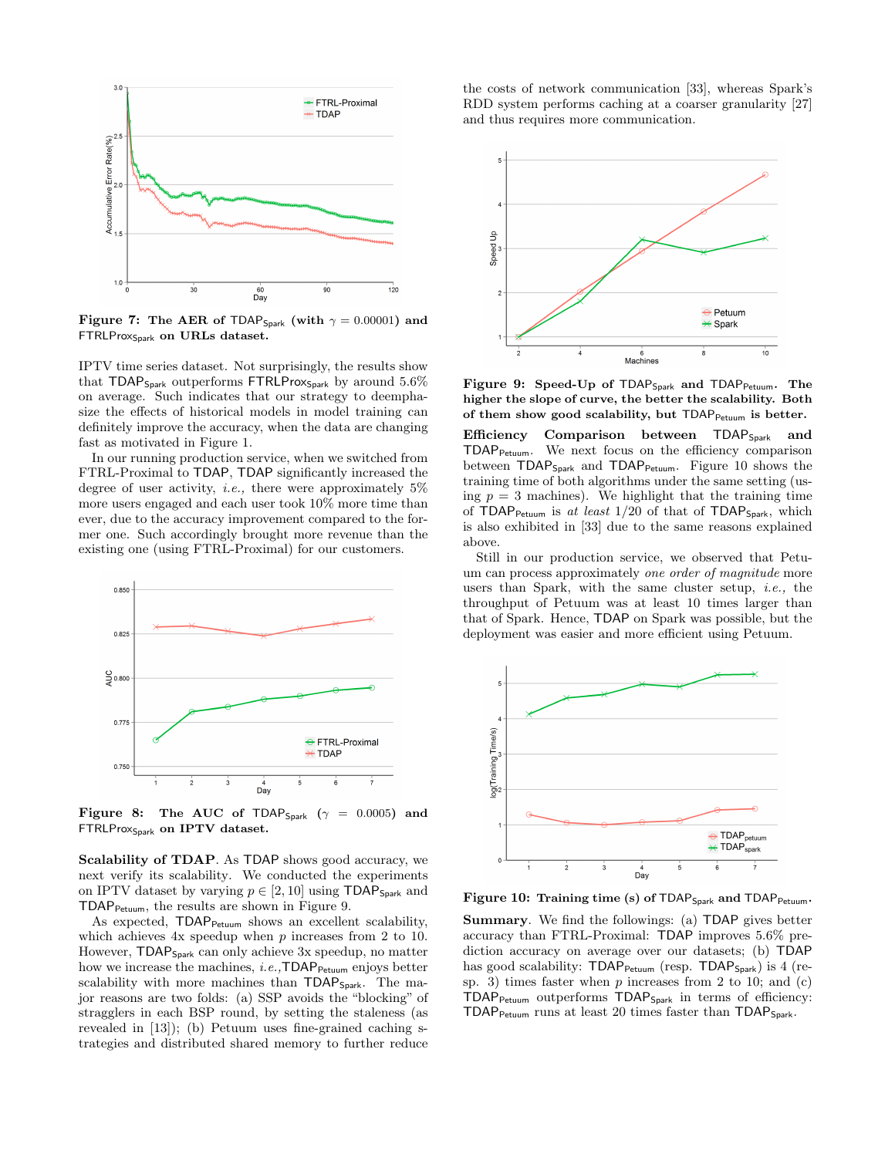

Figure 7: The AER of TDAP<sub>Spark</sub> (with  $\gamma = 0.00001$ ) and FTRLProx<sub>Spark</sub> on URLs dataset.

IPTV time series dataset. Not surprisingly, the results show that  $TDAP_{Spark}$  outperforms  $FTRLProx_{Spark}$  by around 5.6% on average. Such indicates that our strategy to deemphasize the effects of historical models in model training can definitely improve the accuracy, when the data are changing fast as motivated in Figure 1.

In our running production service, when we switched from FTRL-Proximal to TDAP, TDAP significantly increased the degree of user activity, *i.e.*, there were approximately  $5\%$ more users engaged and each user took 10% more time than ever, due to the accuracy improvement compared to the former one. Such accordingly brought more revenue than the existing one (using FTRL-Proximal) for our customers.



Figure 8: The AUC of TDAP<sub>Spark</sub> ( $\gamma = 0.0005$ ) and FTRLProx<sub>Spark</sub> on IPTV dataset.

Scalability of TDAP. As TDAP shows good accuracy, we next verify its scalability. We conducted the experiments on IPTV dataset by varying  $p \in [2, 10]$  using TDAP<sub>Spark</sub> and TDAPPetuum, the results are shown in Figure 9.

As expected, TDAP<sub>Petuum</sub> shows an excellent scalability, which achieves  $4x$  speedup when  $p$  increases from 2 to 10. However,  $TDAP_{Spark}$  can only achieve 3x speedup, no matter how we increase the machines, *i.e.*,  $TDAP_{Petuum}$  enjoys better scalability with more machines than  $TDAP_{Spark}$ . The major reasons are two folds: (a) SSP avoids the "blocking" of stragglers in each BSP round, by setting the staleness (as revealed in [13]); (b) Petuum uses fine-grained caching strategies and distributed shared memory to further reduce the costs of network communication [33], whereas Spark's RDD system performs caching at a coarser granularity [27] and thus requires more communication.



Figure 9: Speed-Up of TDAP<sub>Spark</sub> and TDAP<sub>Petuum</sub>. The higher the slope of curve, the better the scalability. Both of them show good scalability, but  $TDAP_{Petuum}$  is better.

Efficiency Comparison between TDAP<sub>Spark</sub> and TDAPPetuum. We next focus on the efficiency comparison between  $TDAP_{Spark}$  and  $TDAP_{Petuum}$ . Figure 10 shows the training time of both algorithms under the same setting (using  $p = 3$  machines). We highlight that the training time of TDAP<sub>Petuum</sub> is at least  $1/20$  of that of TDAP<sub>Spark</sub>, which is also exhibited in [33] due to the same reasons explained above.

Still in our production service, we observed that Petuum can process approximately one order of magnitude more users than Spark, with the same cluster setup, i.e., the throughput of Petuum was at least 10 times larger than that of Spark. Hence, TDAP on Spark was possible, but the deployment was easier and more efficient using Petuum.



Figure 10: Training time (s) of TDAP<sub>Spark</sub> and TDAP<sub>Petuum</sub>.

Summary. We find the followings: (a) TDAP gives better accuracy than FTRL-Proximal: TDAP improves 5.6% prediction accuracy on average over our datasets; (b) TDAP has good scalability: TDAP<sub>Petuum</sub> (resp. TDAP<sub>Spark</sub>) is 4 (resp. 3) times faster when  $p$  increases from 2 to 10; and  $(c)$ TDAPPetuum outperforms TDAPSpark in terms of efficiency: TDAP $P_{\text{Petuum}}$  runs at least 20 times faster than TDAP $_{\text{Spark}}$ .